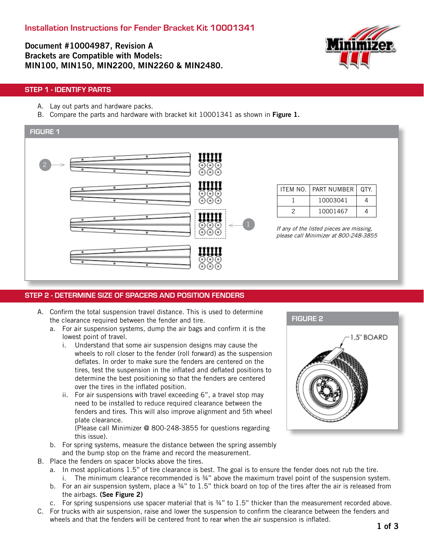Document #10004987, Revision A Brackets are Compatible with Models: MIN100, MIN150, MIN2200, MIN2260 & MIN2480.



#### STEP 1 - IDENTIFY PARTS

- A. Lay out parts and hardware packs.
- B. Compare the parts and hardware with bracket kit 10001341 as shown in Figure 1.



#### STEP 2 - DETERMINE SIZE OF SPACERS AND POSITION FENDERS

- A. Confirm the total suspension travel distance. This is used to determine the clearance required between the fender and tire.
	- a. For air suspension systems, dump the air bags and confirm it is the lowest point of travel.
		- i. Understand that some air suspension designs may cause the wheels to roll closer to the fender (roll forward) as the suspension deflates. In order to make sure the fenders are centered on the tires, test the suspension in the inflated and deflated positions to determine the best positioning so that the fenders are centered over the tires in the inflated position.
		- ii. For air suspensions with travel exceeding 6", a travel stop may need to be installed to reduce required clearance between the fenders and tires. This will also improve alignment and 5th wheel plate clearance.

(Please call Minimizer @ 800-248-3855 for questions regarding this issue).

- b. For spring systems, measure the distance between the spring assembly and the bump stop on the frame and record the measurement.
- B. Place the fenders on spacer blocks above the tires.
	- a. In most applications 1.5" of tire clearance is best. The goal is to ensure the fender does not rub the tire. i. The minimum clearance recommended is  $\frac{3}{4}$ " above the maximum travel point of the suspension system.
	- b. For an air suspension system, place a 34" to 1.5" thick board on top of the tires after the air is released from the airbags. (See Figure 2)
	- c. For spring suspensions use spacer material that is ¾" to 1.5" thicker than the measurement recorded above.
- C. For trucks with air suspension, raise and lower the suspension to confirm the clearance between the fenders and wheels and that the fenders will be centered front to rear when the air suspension is inflated.

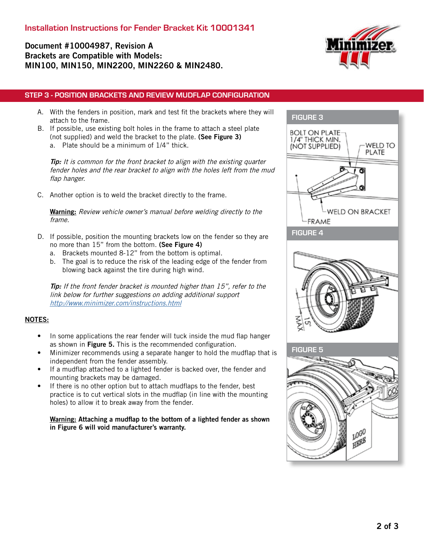# Document #10004987, Revision A Brackets are Compatible with Models: MIN100, MIN150, MIN2200, MIN2260 & MIN2480.



### STEP 3 - POSITION BRACKETS AND REVIEW MUDFLAP CONFIGURATION

- A. With the fenders in position, mark and test fit the brackets where they will attach to the frame.
- B. If possible, use existing bolt holes in the frame to attach a steel plate (not supplied) and weld the bracket to the plate. (See Figure 3) a. Plate should be a minimum of 1/4" thick.

**Tip:** It is common for the front bracket to align with the existing quarter fender holes and the rear bracket to align with the holes left from the mud flap hanger.

C. Another option is to weld the bracket directly to the frame.

**Warning:** Review vehicle owner's manual before welding directly to the frame.

- D. If possible, position the mounting brackets low on the fender so they are no more than 15" from the bottom. (See Figure 4)
	- a. Brackets mounted 8-12" from the bottom is optimal.
	- b. The goal is to reduce the risk of the leading edge of the fender from blowing back against the tire during high wind.

Tip: If the front fender bracket is mounted higher than 15", refer to the link below for further suggestions on adding additional support <http://www.minimizer.com/instructions.html>

#### NOTES:

- In some applications the rear fender will tuck inside the mud flap hanger as shown in Figure 5. This is the recommended configuration.
- Minimizer recommends using a separate hanger to hold the mudflap that is independent from the fender assembly.
- If a mudflap attached to a lighted fender is backed over, the fender and mounting brackets may be damaged.
- If there is no other option but to attach mudflaps to the fender, best practice is to cut vertical slots in the mudflap (in line with the mounting holes) to allow it to break away from the fender.

#### Warning: Attaching a mudflap to the bottom of a lighted fender as shown in Figure 6 will void manufacturer's warranty.